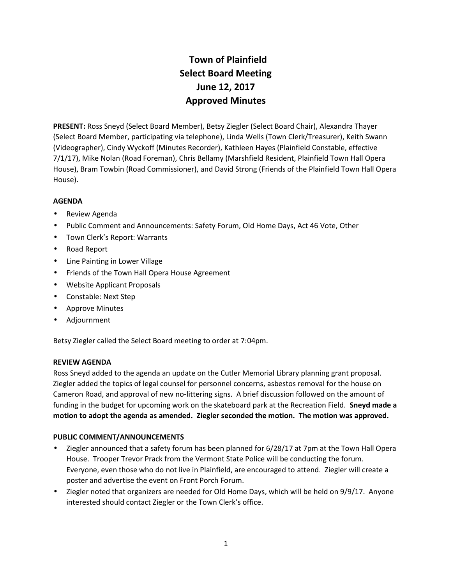# **Town of Plainfield Select Board Meeting June 12, 2017 Approved Minutes**

**PRESENT:** Ross Sneyd (Select Board Member), Betsy Ziegler (Select Board Chair), Alexandra Thayer (Select Board Member, participating via telephone), Linda Wells (Town Clerk/Treasurer), Keith Swann (Videographer), Cindy Wyckoff (Minutes Recorder), Kathleen Hayes (Plainfield Constable, effective 7/1/17), Mike Nolan (Road Foreman), Chris Bellamy (Marshfield Resident, Plainfield Town Hall Opera House), Bram Towbin (Road Commissioner), and David Strong (Friends of the Plainfield Town Hall Opera House).

# **AGENDA**

- Review Agenda
- Public Comment and Announcements: Safety Forum, Old Home Days, Act 46 Vote, Other
- Town Clerk's Report: Warrants
- Road Report
- Line Painting in Lower Village
- **•** Friends of the Town Hall Opera House Agreement
- Website Applicant Proposals
- Constable: Next Step
- Approve Minutes
- Adjournment

Betsy Ziegler called the Select Board meeting to order at 7:04pm.

#### **REVIEW AGENDA**

Ross Sneyd added to the agenda an update on the Cutler Memorial Library planning grant proposal. Ziegler added the topics of legal counsel for personnel concerns, asbestos removal for the house on Cameron Road, and approval of new no-littering signs. A brief discussion followed on the amount of funding in the budget for upcoming work on the skateboard park at the Recreation Field. **Sneyd made a motion to adopt the agenda as amended. Ziegler seconded the motion. The motion was approved.**

# **PUBLIC COMMENT/ANNOUNCEMENTS**

- Ziegler announced that a safety forum has been planned for 6/28/17 at 7pm at the Town Hall Opera House. Trooper Trevor Prack from the Vermont State Police will be conducting the forum. Everyone, even those who do not live in Plainfield, are encouraged to attend. Ziegler will create a poster and advertise the event on Front Porch Forum.
- Ziegler noted that organizers are needed for Old Home Days, which will be held on 9/9/17. Anyone interested should contact Ziegler or the Town Clerk's office.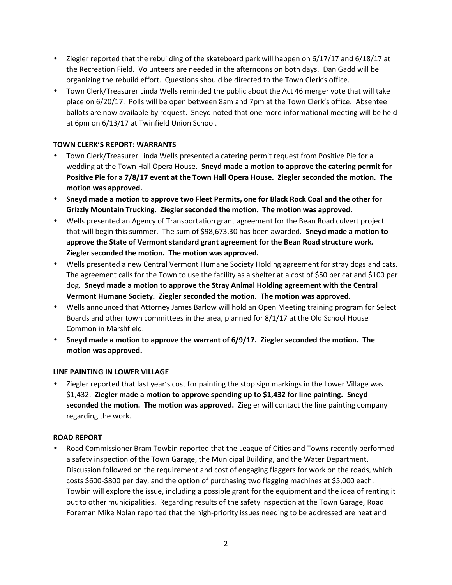- Ziegler reported that the rebuilding of the skateboard park will happen on 6/17/17 and 6/18/17 at the Recreation Field. Volunteers are needed in the afternoons on both days. Dan Gadd will be organizing the rebuild effort. Questions should be directed to the Town Clerk's office.
- Town Clerk/Treasurer Linda Wells reminded the public about the Act 46 merger vote that will take place on 6/20/17. Polls will be open between 8am and 7pm at the Town Clerk's office. Absentee ballots are now available by request. Sneyd noted that one more informational meeting will be held at 6pm on 6/13/17 at Twinfield Union School.

# **TOWN CLERK'S REPORT: WARRANTS**

- Town Clerk/Treasurer Linda Wells presented a catering permit request from Positive Pie for a wedding at the Town Hall Opera House. **Sneyd made a motion to approve the catering permit for Positive Pie for a 7/8/17 event at the Town Hall Opera House. Ziegler seconded the motion. The motion was approved.**
- **Sneyd made a motion to approve two Fleet Permits, one for Black Rock Coal and the other for Grizzly Mountain Trucking. Ziegler seconded the motion. The motion was approved.**
- Wells presented an Agency of Transportation grant agreement for the Bean Road culvert project that will begin this summer. The sum of \$98,673.30 has been awarded. **Sneyd made a motion to approve the State of Vermont standard grant agreement for the Bean Road structure work. Ziegler seconded the motion. The motion was approved.**
- Wells presented a new Central Vermont Humane Society Holding agreement for stray dogs and cats. The agreement calls for the Town to use the facility as a shelter at a cost of \$50 per cat and \$100 per dog. **Sneyd made a motion to approve the Stray Animal Holding agreement with the Central Vermont Humane Society. Ziegler seconded the motion. The motion was approved.**
- Wells announced that Attorney James Barlow will hold an Open Meeting training program for Select Boards and other town committees in the area, planned for 8/1/17 at the Old School House Common in Marshfield.
- **Sneyd made a motion to approve the warrant of 6/9/17. Ziegler seconded the motion. The motion was approved.**

# **LINE PAINTING IN LOWER VILLAGE**

 Ziegler reported that last year's cost for painting the stop sign markings in the Lower Village was \$1,432. **Ziegler made a motion to approve spending up to \$1,432 for line painting. Sneyd seconded the motion. The motion was approved.** Ziegler will contact the line painting company regarding the work.

# **ROAD REPORT**

 Road Commissioner Bram Towbin reported that the League of Cities and Towns recently performed a safety inspection of the Town Garage, the Municipal Building, and the Water Department. Discussion followed on the requirement and cost of engaging flaggers for work on the roads, which costs \$600-\$800 per day, and the option of purchasing two flagging machines at \$5,000 each. Towbin will explore the issue, including a possible grant for the equipment and the idea of renting it out to other municipalities. Regarding results of the safety inspection at the Town Garage, Road Foreman Mike Nolan reported that the high-priority issues needing to be addressed are heat and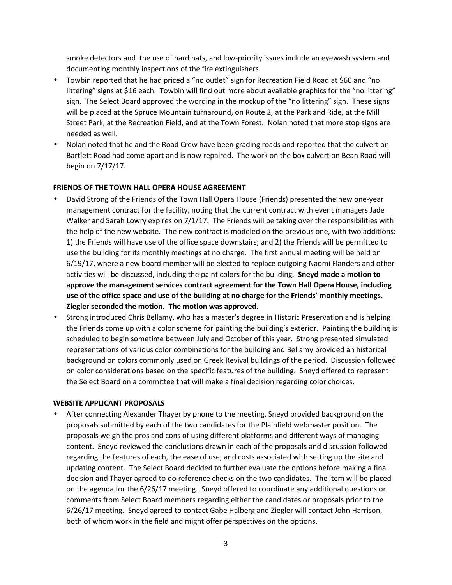smoke detectors and the use of hard hats, and low-priority issues include an eyewash system and documenting monthly inspections of the fire extinguishers.

- Towbin reported that he had priced a "no outlet" sign for Recreation Field Road at \$60 and "no littering" signs at \$16 each. Towbin will find out more about available graphics for the "no littering" sign. The Select Board approved the wording in the mockup of the "no littering" sign. These signs will be placed at the Spruce Mountain turnaround, on Route 2, at the Park and Ride, at the Mill Street Park, at the Recreation Field, and at the Town Forest. Nolan noted that more stop signs are needed as well.
- Nolan noted that he and the Road Crew have been grading roads and reported that the culvert on Bartlett Road had come apart and is now repaired. The work on the box culvert on Bean Road will begin on 7/17/17.

# **FRIENDS OF THE TOWN HALL OPERA HOUSE AGREEMENT**

- David Strong of the Friends of the Town Hall Opera House (Friends) presented the new one-year management contract for the facility, noting that the current contract with event managers Jade Walker and Sarah Lowry expires on 7/1/17. The Friends will be taking over the responsibilities with the help of the new website. The new contract is modeled on the previous one, with two additions: 1) the Friends will have use of the office space downstairs; and 2) the Friends will be permitted to use the building for its monthly meetings at no charge. The first annual meeting will be held on 6/19/17, where a new board member will be elected to replace outgoing Naomi Flanders and other activities will be discussed, including the paint colors for the building. **Sneyd made a motion to approve the management services contract agreement for the Town Hall Opera House, including use of the office space and use of the building at no charge for the Friends' monthly meetings. Ziegler seconded the motion. The motion was approved.**
- Strong introduced Chris Bellamy, who has a master's degree in Historic Preservation and is helping the Friends come up with a color scheme for painting the building's exterior. Painting the building is scheduled to begin sometime between July and October of this year. Strong presented simulated representations of various color combinations for the building and Bellamy provided an historical background on colors commonly used on Greek Revival buildings of the period. Discussion followed on color considerations based on the specific features of the building. Sneyd offered to represent the Select Board on a committee that will make a final decision regarding color choices.

# **WEBSITE APPLICANT PROPOSALS**

 After connecting Alexander Thayer by phone to the meeting, Sneyd provided background on the proposals submitted by each of the two candidates for the Plainfield webmaster position. The proposals weigh the pros and cons of using different platforms and different ways of managing content. Sneyd reviewed the conclusions drawn in each of the proposals and discussion followed regarding the features of each, the ease of use, and costs associated with setting up the site and updating content. The Select Board decided to further evaluate the options before making a final decision and Thayer agreed to do reference checks on the two candidates. The item will be placed on the agenda for the 6/26/17 meeting. Sneyd offered to coordinate any additional questions or comments from Select Board members regarding either the candidates or proposals prior to the 6/26/17 meeting. Sneyd agreed to contact Gabe Halberg and Ziegler will contact John Harrison, both of whom work in the field and might offer perspectives on the options.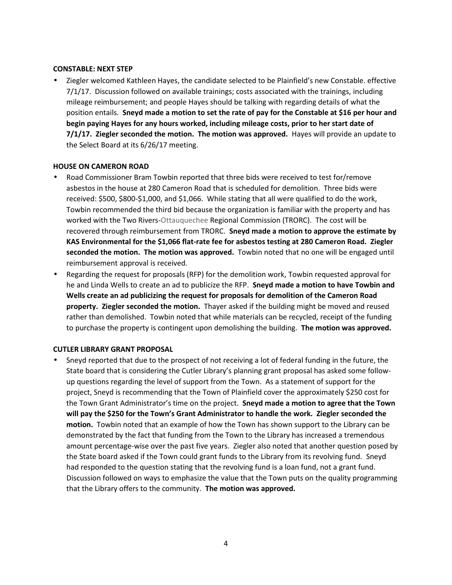#### **CONSTABLE: NEXT STEP**

 Ziegler welcomed Kathleen Hayes, the candidate selected to be Plainfield's new Constable. effective 7/1/17. Discussion followed on available trainings; costs associated with the trainings, including mileage reimbursement; and people Hayes should be talking with regarding details of what the position entails. **Sneyd made a motion to set the rate of pay for the Constable at \$16 per hour and begin paying Hayes for any hours worked, including mileage costs, prior to her start date of 7/1/17. Ziegler seconded the motion. The motion was approved.** Hayes will provide an update to the Select Board at its 6/26/17 meeting.

#### **HOUSE ON CAMERON ROAD**

- Road Commissioner Bram Towbin reported that three bids were received to test for/remove asbestos in the house at 280 Cameron Road that is scheduled for demolition. Three bids were received: \$500, \$800-\$1,000, and \$1,066. While stating that all were qualified to do the work, Towbin recommended the third bid because the organization is familiar with the property and has worked with the Two Rivers-Ottauquechee Regional Commission (TRORC). The cost will be recovered through reimbursement from TRORC. **Sneyd made a motion to approve the estimate by KAS Environmental for the \$1,066 flat-rate fee for asbestos testing at 280 Cameron Road. Ziegler seconded the motion. The motion was approved.** Towbin noted that no one will be engaged until reimbursement approval is received.
- Regarding the request for proposals (RFP) for the demolition work, Towbin requested approval for he and Linda Wells to create an ad to publicize the RFP. **Sneyd made a motion to have Towbin and Wells create an ad publicizing the request for proposals for demolition of the Cameron Road property. Ziegler seconded the motion.** Thayer asked if the building might be moved and reused rather than demolished. Towbin noted that while materials can be recycled, receipt of the funding to purchase the property is contingent upon demolishing the building. **The motion was approved.**

# **CUTLER LIBRARY GRANT PROPOSAL**

 Sneyd reported that due to the prospect of not receiving a lot of federal funding in the future, the State board that is considering the Cutler Library's planning grant proposal has asked some follow up questions regarding the level of support from the Town. As a statement of support for the project, Sneyd is recommending that the Town of Plainfield cover the approximately \$250 cost for the Town Grant Administrator's time on the project. **Sneyd made a motion to agree that the Town will pay the \$250 for the Town's Grant Administrator to handle the work. Ziegler seconded the motion.** Towbin noted that an example of how the Town has shown support to the Library can be demonstrated by the fact that funding from the Town to the Library has increased a tremendous amount percentage-wise over the past five years. Ziegler also noted that another question posed by the State board asked if the Town could grant funds to the Library from its revolving fund. Sneyd had responded to the question stating that the revolving fund is a loan fund, not a grant fund. Discussion followed on ways to emphasize the value that the Town puts on the quality programming that the Library offers to the community. **The motion was approved.**